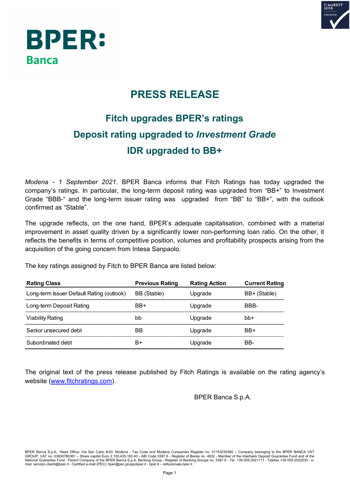

## **BPER: Banca**

## **PRESS RELEASE**

## **Fitch upgrades BPER's ratings Deposit rating upgraded to** *Investment Grade* **IDR upgraded to BB+**

*Modena - 1 September 2021*. BPER Banca informs that Fitch Ratings has today upgraded the company's ratings. In particular, the long-term deposit rating was upgraded from "BB+" to Investment Grade "BBB-" and the long-term issuer rating was upgraded from "BB" to "BB+", with the outlook confirmed as "Stable".

The upgrade reflects, on the one hand, BPER's adequate capitalisation, combined with a material improvement in asset quality driven by a significantly lower non-performing loan ratio. On the other, it reflects the benefits in terms of competitive position, volumes and profitability prospects arising from the acquisition of the going concern from Intesa Sanpaolo.

The key ratings assigned by Fitch to BPER Banca are listed below:

| <b>Rating Class</b>                       | <b>Previous Rating</b> | <b>Rating Action</b> | <b>Current Rating</b> |
|-------------------------------------------|------------------------|----------------------|-----------------------|
| Long-term Issuer Default Rating (outlook) | BB (Stable)            | Upgrade              | BB+ (Stable)          |
| Long-term Deposit Rating                  | BB+                    | Upgrade              | BBB-                  |
| Viability Rating                          | bb                     | Upgrade              | bb+                   |
| Senior unsecured debt                     | BВ                     | Upgrade              | BB+                   |
| Subordinated debt                         | B+                     | Upgrade              | BB-                   |

The original text of the press release published by Fitch Ratings is available on the rating agency's website (www.fitchratings.com).

BPER Banca S.p.A.

BPER Banca S.p.A., Head Office: Via San Carlo 8/20, Modena - Tax Code and Modena Companies Register no. 01153230360 – Company belonging to the BPER BANCA VAT<br>GROUP, VAT no. 03830780361 – Share capital Euro 2,100,435,182.4